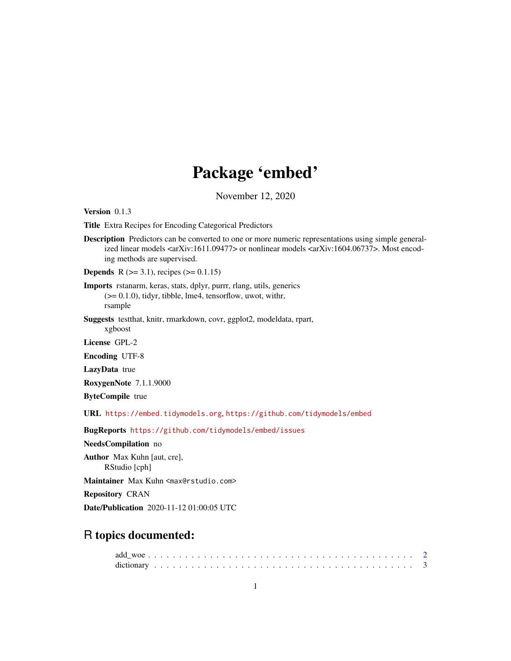## Package 'embed'

November 12, 2020

<span id="page-0-0"></span>Version 0.1.3

Title Extra Recipes for Encoding Categorical Predictors

Description Predictors can be converted to one or more numeric representations using simple generalized linear models <arXiv:1611.09477> or nonlinear models <arXiv:1604.06737>. Most encoding methods are supervised.

**Depends** R  $(>= 3.1)$ , recipes  $(>= 0.1.15)$ 

Imports rstanarm, keras, stats, dplyr, purrr, rlang, utils, generics (>= 0.1.0), tidyr, tibble, lme4, tensorflow, uwot, withr, rsample

Suggests testthat, knitr, rmarkdown, covr, ggplot2, modeldata, rpart, xgboost

License GPL-2

Encoding UTF-8

LazyData true

RoxygenNote 7.1.1.9000

ByteCompile true

URL <https://embed.tidymodels.org>, <https://github.com/tidymodels/embed>

BugReports <https://github.com/tidymodels/embed/issues>

NeedsCompilation no

Author Max Kuhn [aut, cre], RStudio [cph]

Maintainer Max Kuhn <max@rstudio.com>

Repository CRAN

Date/Publication 2020-11-12 01:00:05 UTC

## R topics documented: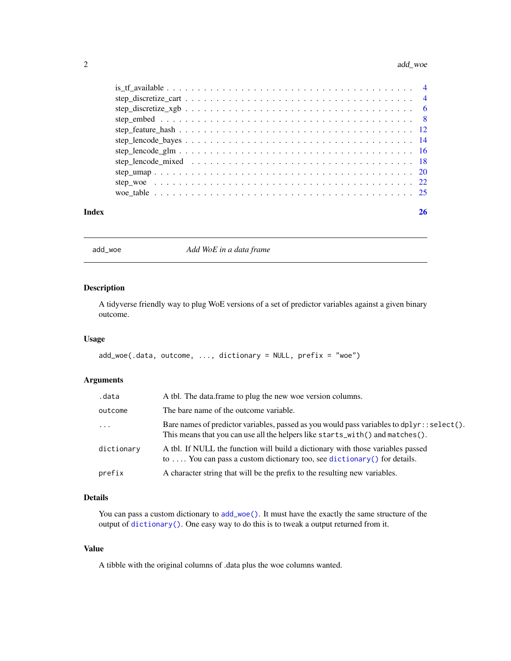#### <span id="page-1-0"></span>2 add\_woe and  $\frac{1}{2}$  and  $\frac{1}{2}$  and  $\frac{1}{2}$  and  $\frac{1}{2}$  and  $\frac{1}{2}$  and  $\frac{1}{2}$  and  $\frac{1}{2}$  and  $\frac{1}{2}$  and  $\frac{1}{2}$  and  $\frac{1}{2}$  and  $\frac{1}{2}$  and  $\frac{1}{2}$  and  $\frac{1}{2}$  and  $\frac{1}{2}$  and  $\frac{1}{2}$  an

#### **Index** [26](#page-25-0)

<span id="page-1-1"></span>add\_woe *Add WoE in a data frame*

## Description

A tidyverse friendly way to plug WoE versions of a set of predictor variables against a given binary outcome.

## Usage

```
add_woe(.data, outcome, ..., dictionary = NULL, prefix = "woe")
```
## Arguments

| .data      | A tbl. The data frame to plug the new woe version columns.                                                                                                                      |
|------------|---------------------------------------------------------------------------------------------------------------------------------------------------------------------------------|
| outcome    | The bare name of the outcome variable.                                                                                                                                          |
| $\cdots$   | Bare names of predictor variables, passed as you would pass variables to dplyr: : $select()$ .<br>This means that you can use all the helpers like starts_with() and matches(). |
| dictionary | A tbl. If NULL the function will build a dictionary with those variables passed<br>to  You can pass a custom dictionary too, see dictionary () for details.                     |
| prefix     | A character string that will be the prefix to the resulting new variables.                                                                                                      |

## Details

You can pass a custom dictionary to [add\\_woe\(\)](#page-1-1). It must have the exactly the same structure of the output of [dictionary\(\)](#page-2-1). One easy way to do this is to tweak a output returned from it.

## Value

A tibble with the original columns of .data plus the woe columns wanted.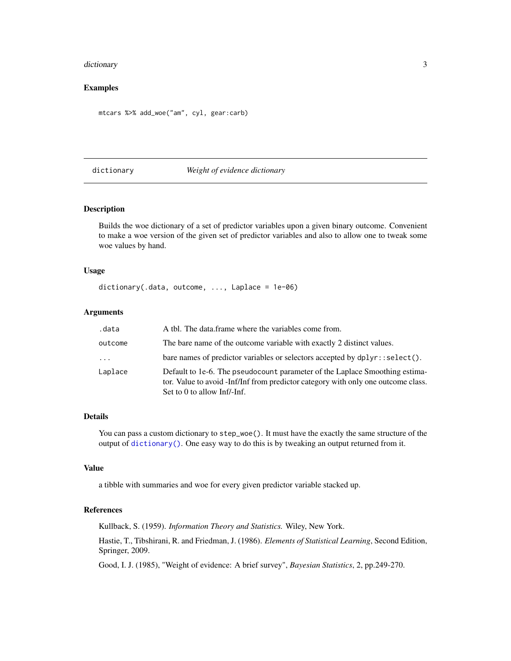#### <span id="page-2-0"></span>dictionary 30 and 30 and 30 and 30 and 30 and 30 and 30 and 30 and 30 and 30 and 30 and 30 and 30 and 30 and 30 and 30 and 30 and 30 and 30 and 30 and 30 and 30 and 30 and 30 and 30 and 30 and 30 and 30 and 30 and 30 and 3

## Examples

mtcars %>% add\_woe("am", cyl, gear:carb)

### <span id="page-2-1"></span>dictionary *Weight of evidence dictionary*

#### Description

Builds the woe dictionary of a set of predictor variables upon a given binary outcome. Convenient to make a woe version of the given set of predictor variables and also to allow one to tweak some woe values by hand.

#### Usage

```
dictionary(.data, outcome, ..., Laplace = 1e-06)
```
## Arguments

| .data    | A tbl. The data frame where the variables come from.                                                                                                                                            |
|----------|-------------------------------------------------------------------------------------------------------------------------------------------------------------------------------------------------|
| outcome  | The bare name of the outcome variable with exactly 2 distinct values.                                                                                                                           |
| $\cdots$ | bare names of predictor variables or selectors accepted by $d$ pl $\gamma$ r: : select().                                                                                                       |
| Laplace  | Default to 1e-6. The pseudocount parameter of the Laplace Smoothing estima-<br>tor. Value to avoid -Inf/Inf from predictor category with only one outcome class.<br>Set to 0 to allow Inf/-Inf. |

#### Details

You can pass a custom dictionary to  $step\_woe()$ . It must have the exactly the same structure of the output of [dictionary\(\)](#page-2-1). One easy way to do this is by tweaking an output returned from it.

#### Value

a tibble with summaries and woe for every given predictor variable stacked up.

### References

Kullback, S. (1959). *Information Theory and Statistics.* Wiley, New York.

Hastie, T., Tibshirani, R. and Friedman, J. (1986). *Elements of Statistical Learning*, Second Edition, Springer, 2009.

Good, I. J. (1985), "Weight of evidence: A brief survey", *Bayesian Statistics*, 2, pp.249-270.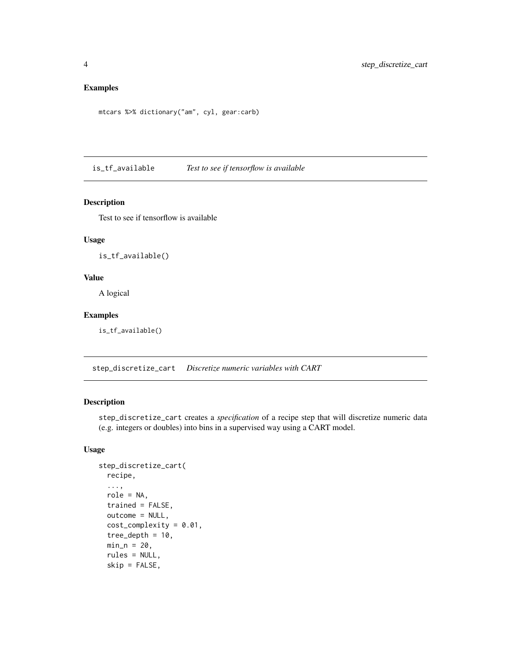## <span id="page-3-0"></span>Examples

```
mtcars %>% dictionary("am", cyl, gear:carb)
```
is\_tf\_available *Test to see if tensorflow is available*

## Description

Test to see if tensorflow is available

#### Usage

is\_tf\_available()

#### Value

A logical

#### Examples

is\_tf\_available()

<span id="page-3-1"></span>step\_discretize\_cart *Discretize numeric variables with CART*

## Description

step\_discretize\_cart creates a *specification* of a recipe step that will discretize numeric data (e.g. integers or doubles) into bins in a supervised way using a CART model.

## Usage

```
step_discretize_cart(
  recipe,
  ...,
  role = NA,
  trained = FALSE,
  outcome = NULL,
  cost\_complexity = 0.01,
  tree_depth = 10,
 min_n = 20,
  rules = NULL,
  skip = FALSE,
```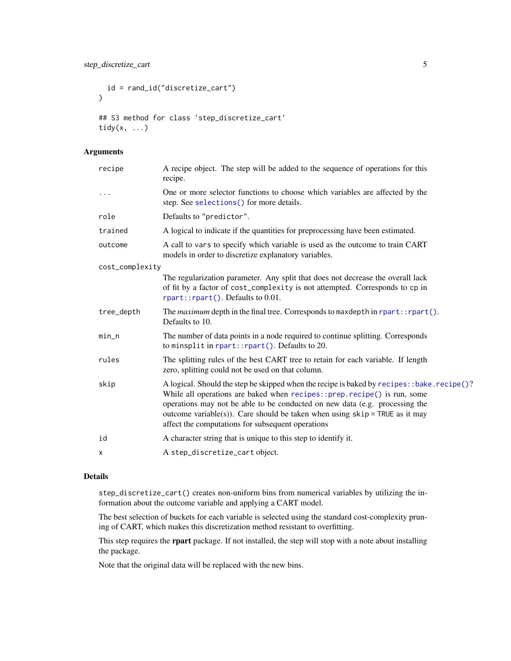```
id = rand_id("discretize_cart")
\lambda## S3 method for class 'step_discretize_cart'
tidy(x, ...)
```
## Arguments

| recipe          | A recipe object. The step will be added to the sequence of operations for this<br>recipe.                                                                                                                                                                                                                                                                                                    |
|-----------------|----------------------------------------------------------------------------------------------------------------------------------------------------------------------------------------------------------------------------------------------------------------------------------------------------------------------------------------------------------------------------------------------|
| $\cdots$        | One or more selector functions to choose which variables are affected by the<br>step. See selections () for more details.                                                                                                                                                                                                                                                                    |
| role            | Defaults to "predictor".                                                                                                                                                                                                                                                                                                                                                                     |
| trained         | A logical to indicate if the quantities for preprocessing have been estimated.                                                                                                                                                                                                                                                                                                               |
| outcome         | A call to vars to specify which variable is used as the outcome to train CART<br>models in order to discretize explanatory variables.                                                                                                                                                                                                                                                        |
| cost_complexity |                                                                                                                                                                                                                                                                                                                                                                                              |
|                 | The regularization parameter. Any split that does not decrease the overall lack<br>of fit by a factor of cost_complexity is not attempted. Corresponds to cp in<br>rpart::rpart(). Defaults to 0.01.                                                                                                                                                                                         |
| tree_depth      | The maximum depth in the final tree. Corresponds to maxdepth in rpart:: rpart().<br>Defaults to 10.                                                                                                                                                                                                                                                                                          |
| min_n           | The number of data points in a node required to continue splitting. Corresponds<br>to minsplit in $\text{rpart}$ :: $\text{rpart}()$ . Defaults to 20.                                                                                                                                                                                                                                       |
| rules           | The splitting rules of the best CART tree to retain for each variable. If length<br>zero, splitting could not be used on that column.                                                                                                                                                                                                                                                        |
| skip            | A logical. Should the step be skipped when the recipe is baked by recipes: : bake. recipe()?<br>While all operations are baked when recipes::prep.recipe() is run, some<br>operations may not be able to be conducted on new data (e.g. processing the<br>outcome variable(s)). Care should be taken when using $skip =$ TRUE as it may<br>affect the computations for subsequent operations |
| id              | A character string that is unique to this step to identify it.                                                                                                                                                                                                                                                                                                                               |
| X               | A step_discretize_cart object.                                                                                                                                                                                                                                                                                                                                                               |
|                 |                                                                                                                                                                                                                                                                                                                                                                                              |

#### Details

step\_discretize\_cart() creates non-uniform bins from numerical variables by utilizing the information about the outcome variable and applying a CART model.

The best selection of buckets for each variable is selected using the standard cost-complexity pruning of CART, which makes this discretization method resistant to overfitting.

This step requires the rpart package. If not installed, the step will stop with a note about installing the package.

Note that the original data will be replaced with the new bins.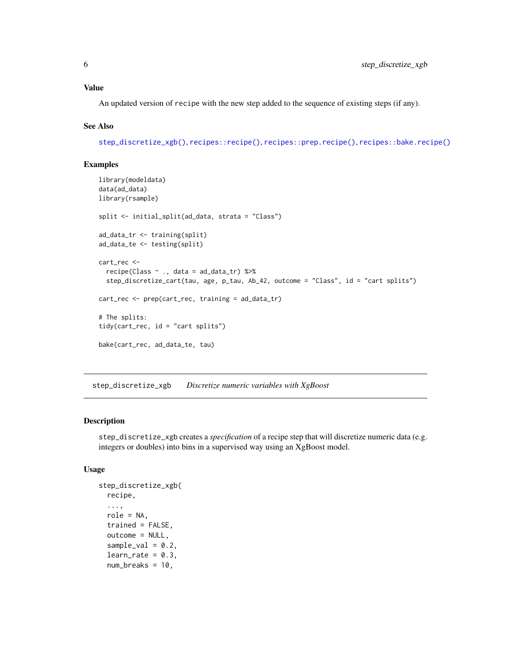#### <span id="page-5-0"></span>Value

An updated version of recipe with the new step added to the sequence of existing steps (if any).

#### See Also

[step\\_discretize\\_xgb\(\)](#page-5-1), [recipes::recipe\(\)](#page-0-0), [recipes::prep.recipe\(\)](#page-0-0), [recipes::bake.recipe\(\)](#page-0-0)

### Examples

```
library(modeldata)
data(ad_data)
library(rsample)
split <- initial_split(ad_data, strata = "Class")
ad_data_tr <- training(split)
ad_data_te <- testing(split)
cart_rec <-
  recipe(Class ~ ., data = ad_data_tr) %>%
  step_discretize_cart(tau, age, p_tau, Ab_42, outcome = "Class", id = "cart splits")
cart_rec <- prep(cart_rec, training = ad_data_tr)
# The splits:
tidy(cart_rec, id = "cart splits")
bake(cart_rec, ad_data_te, tau)
```
<span id="page-5-1"></span>step\_discretize\_xgb *Discretize numeric variables with XgBoost*

#### Description

step\_discretize\_xgb creates a *specification* of a recipe step that will discretize numeric data (e.g. integers or doubles) into bins in a supervised way using an XgBoost model.

#### Usage

```
step_discretize_xgb(
 recipe,
  ...,
  role = NA,
  trained = FALSE,
  outcome = NULL,
  sample_val = 0.2,
  learn_rate = 0.3,num_breaks = 10,
```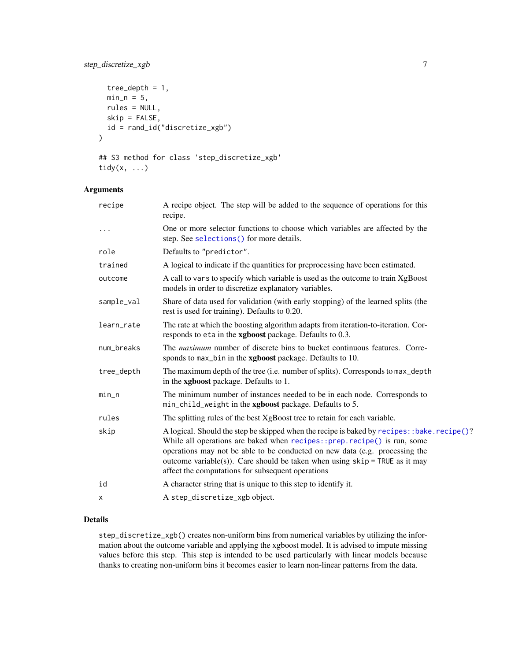## <span id="page-6-0"></span>step\_discretize\_xgb 7

```
tree_depth = 1,
 min_n = 5,
 rules = NULL,
  skip = FALSE,
  id = rand_id("discretize_xgb")
\mathcal{E}
```

```
## S3 method for class 'step_discretize_xgb'
tidy(x, ...)
```
## Arguments

| recipe     | A recipe object. The step will be added to the sequence of operations for this<br>recipe.                                                                                                                                                                                                                                                                                                    |
|------------|----------------------------------------------------------------------------------------------------------------------------------------------------------------------------------------------------------------------------------------------------------------------------------------------------------------------------------------------------------------------------------------------|
| $\cdots$   | One or more selector functions to choose which variables are affected by the<br>step. See selections() for more details.                                                                                                                                                                                                                                                                     |
| role       | Defaults to "predictor".                                                                                                                                                                                                                                                                                                                                                                     |
| trained    | A logical to indicate if the quantities for preprocessing have been estimated.                                                                                                                                                                                                                                                                                                               |
| outcome    | A call to vars to specify which variable is used as the outcome to train XgBoost<br>models in order to discretize explanatory variables.                                                                                                                                                                                                                                                     |
| sample_val | Share of data used for validation (with early stopping) of the learned splits (the<br>rest is used for training). Defaults to 0.20.                                                                                                                                                                                                                                                          |
| learn_rate | The rate at which the boosting algorithm adapts from iteration-to-iteration. Cor-<br>responds to eta in the xgboost package. Defaults to 0.3.                                                                                                                                                                                                                                                |
| num_breaks | The <i>maximum</i> number of discrete bins to bucket continuous features. Corre-<br>sponds to max_bin in the xgboost package. Defaults to 10.                                                                                                                                                                                                                                                |
| tree_depth | The maximum depth of the tree (i.e. number of splits). Corresponds to max_depth<br>in the xgboost package. Defaults to 1.                                                                                                                                                                                                                                                                    |
| min_n      | The minimum number of instances needed to be in each node. Corresponds to<br>min_child_weight in the xgboost package. Defaults to 5.                                                                                                                                                                                                                                                         |
| rules      | The splitting rules of the best XgBoost tree to retain for each variable.                                                                                                                                                                                                                                                                                                                    |
| skip       | A logical. Should the step be skipped when the recipe is baked by recipes: :bake.recipe()?<br>While all operations are baked when recipes:: prep. recipe() is run, some<br>operations may not be able to be conducted on new data (e.g. processing the<br>outcome variable(s)). Care should be taken when using $skip =$ TRUE as it may<br>affect the computations for subsequent operations |
| id         | A character string that is unique to this step to identify it.                                                                                                                                                                                                                                                                                                                               |
| х          | A step_discretize_xgb object.                                                                                                                                                                                                                                                                                                                                                                |

## Details

step\_discretize\_xgb() creates non-uniform bins from numerical variables by utilizing the information about the outcome variable and applying the xgboost model. It is advised to impute missing values before this step. This step is intended to be used particularly with linear models because thanks to creating non-uniform bins it becomes easier to learn non-linear patterns from the data.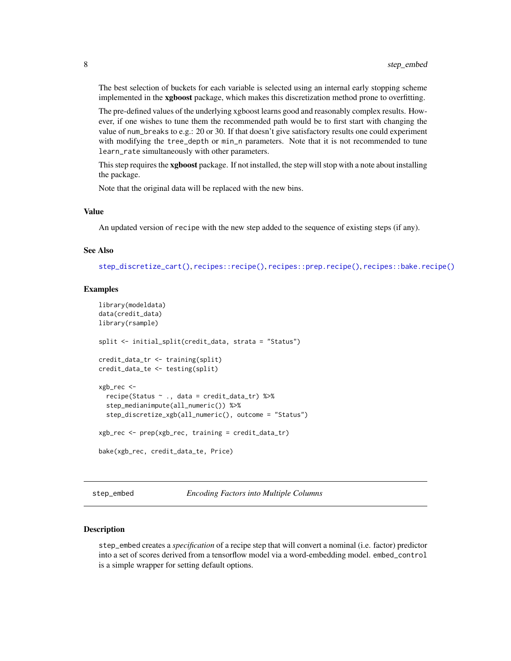<span id="page-7-0"></span>The best selection of buckets for each variable is selected using an internal early stopping scheme implemented in the xgboost package, which makes this discretization method prone to overfitting.

The pre-defined values of the underlying xgboost learns good and reasonably complex results. However, if one wishes to tune them the recommended path would be to first start with changing the value of num\_breaks to e.g.: 20 or 30. If that doesn't give satisfactory results one could experiment with modifying the tree\_depth or min\_n parameters. Note that it is not recommended to tune learn\_rate simultaneously with other parameters.

This step requires the xgboost package. If not installed, the step will stop with a note about installing the package.

Note that the original data will be replaced with the new bins.

#### Value

An updated version of recipe with the new step added to the sequence of existing steps (if any).

#### See Also

[step\\_discretize\\_cart\(\)](#page-3-1), [recipes::recipe\(\)](#page-0-0), [recipes::prep.recipe\(\)](#page-0-0), [recipes::bake.recipe\(\)](#page-0-0)

#### Examples

```
library(modeldata)
data(credit_data)
library(rsample)
split <- initial_split(credit_data, strata = "Status")
credit_data_tr <- training(split)
credit_data_te <- testing(split)
xgb_rec <-
 recipe(Status ~ ., data = credit_data_tr) %>%
 step_medianimpute(all_numeric()) %>%
 step_discretize_xgb(all_numeric(), outcome = "Status")
xgb_rec <- prep(xgb_rec, training = credit_data_tr)
bake(xgb_rec, credit_data_te, Price)
```
step\_embed *Encoding Factors into Multiple Columns*

#### Description

step\_embed creates a *specification* of a recipe step that will convert a nominal (i.e. factor) predictor into a set of scores derived from a tensorflow model via a word-embedding model. embed\_control is a simple wrapper for setting default options.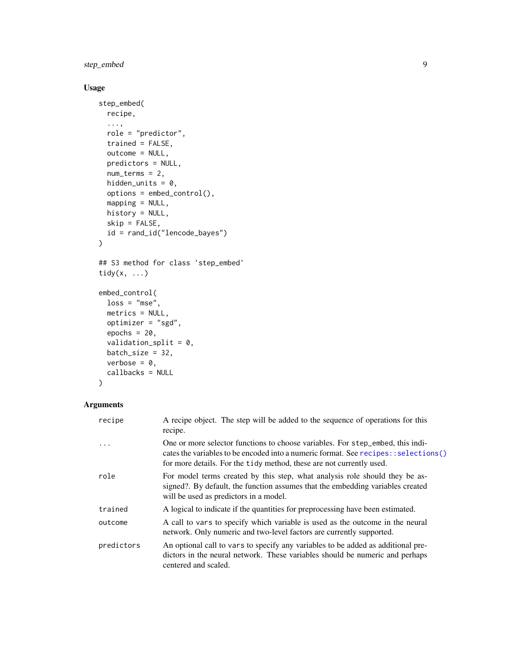<span id="page-8-0"></span>step\_embed 9

## Usage

```
step_embed(
 recipe,
  ...,
 role = "predictor",
 trained = FALSE,
 outcome = NULL,
 predictors = NULL,
 num_terms = 2,
 hidden_units = 0,
 options = embed_control(),
 mapping = NULL,
 history = NULL,
 skip = FALSE,
 id = rand_id("lencode_bayes")
)
## S3 method for class 'step_embed'
tidy(x, \ldots)embed_control(
 loss = "mse",metrics = NULL,
 optimizer = "sgd",
 epochs = 20,validation_split = 0,
 batch_size = 32,verbose = 0,
 callbacks = NULL
)
```
## Arguments

| recipe     | A recipe object. The step will be added to the sequence of operations for this<br>recipe.                                                                                                                                                      |
|------------|------------------------------------------------------------------------------------------------------------------------------------------------------------------------------------------------------------------------------------------------|
| $\cdot$    | One or more selector functions to choose variables. For step_embed, this indi-<br>cates the variables to be encoded into a numeric format. See recipes: : selections()<br>for more details. For the tidy method, these are not currently used. |
| role       | For model terms created by this step, what analysis role should they be as-<br>signed?. By default, the function assumes that the embedding variables created<br>will be used as predictors in a model.                                        |
| trained    | A logical to indicate if the quantities for preprocessing have been estimated.                                                                                                                                                                 |
| outcome    | A call to vars to specify which variable is used as the outcome in the neural<br>network. Only numeric and two-level factors are currently supported.                                                                                          |
| predictors | An optional call to vars to specify any variables to be added as additional pre-<br>dictors in the neural network. These variables should be numeric and perhaps<br>centered and scaled.                                                       |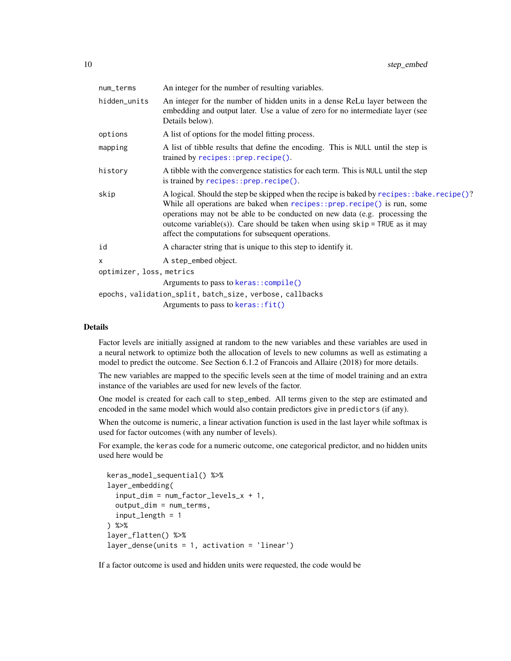<span id="page-9-0"></span>

| num_terms                | An integer for the number of resulting variables.                                                                                                                                                                                                                                                                                                                                              |  |  |  |  |  |
|--------------------------|------------------------------------------------------------------------------------------------------------------------------------------------------------------------------------------------------------------------------------------------------------------------------------------------------------------------------------------------------------------------------------------------|--|--|--|--|--|
| hidden_units             | An integer for the number of hidden units in a dense ReLu layer between the<br>embedding and output later. Use a value of zero for no intermediate layer (see<br>Details below).                                                                                                                                                                                                               |  |  |  |  |  |
| options                  | A list of options for the model fitting process.                                                                                                                                                                                                                                                                                                                                               |  |  |  |  |  |
| mapping                  | A list of tibble results that define the encoding. This is NULL until the step is<br>trained by recipes::prep.recipe().                                                                                                                                                                                                                                                                        |  |  |  |  |  |
| history                  | A tibble with the convergence statistics for each term. This is NULL until the step<br>is trained by recipes:: prep.recipe().                                                                                                                                                                                                                                                                  |  |  |  |  |  |
| skip                     | A logical. Should the step be skipped when the recipe is baked by recipes: : bake. recipe()?<br>While all operations are baked when recipes:: prep.recipe() is run, some<br>operations may not be able to be conducted on new data (e.g. processing the<br>outcome variable(s)). Care should be taken when using $skip =$ TRUE as it may<br>affect the computations for subsequent operations. |  |  |  |  |  |
| id                       | A character string that is unique to this step to identify it.                                                                                                                                                                                                                                                                                                                                 |  |  |  |  |  |
| x                        | A step_embed object.                                                                                                                                                                                                                                                                                                                                                                           |  |  |  |  |  |
| optimizer, loss, metrics |                                                                                                                                                                                                                                                                                                                                                                                                |  |  |  |  |  |
|                          | Arguments to pass to keras:: compile()                                                                                                                                                                                                                                                                                                                                                         |  |  |  |  |  |
|                          | epochs, validation_split, batch_size, verbose, callbacks                                                                                                                                                                                                                                                                                                                                       |  |  |  |  |  |
|                          | Arguments to pass to keras::fit()                                                                                                                                                                                                                                                                                                                                                              |  |  |  |  |  |
|                          |                                                                                                                                                                                                                                                                                                                                                                                                |  |  |  |  |  |

Factor levels are initially assigned at random to the new variables and these variables are used in a neural network to optimize both the allocation of levels to new columns as well as estimating a model to predict the outcome. See Section 6.1.2 of Francois and Allaire (2018) for more details.

The new variables are mapped to the specific levels seen at the time of model training and an extra instance of the variables are used for new levels of the factor.

One model is created for each call to step\_embed. All terms given to the step are estimated and encoded in the same model which would also contain predictors give in predictors (if any).

When the outcome is numeric, a linear activation function is used in the last layer while softmax is used for factor outcomes (with any number of levels).

For example, the keras code for a numeric outcome, one categorical predictor, and no hidden units used here would be

```
keras_model_sequential() %>%
layer_embedding(
  input_dim = num_factor_levels_x + 1,
 output_dim = num_terms,
  input_length = 1
) %>%
layer_flatten() %>%
layer_dense(units = 1, activation = 'linear')
```
If a factor outcome is used and hidden units were requested, the code would be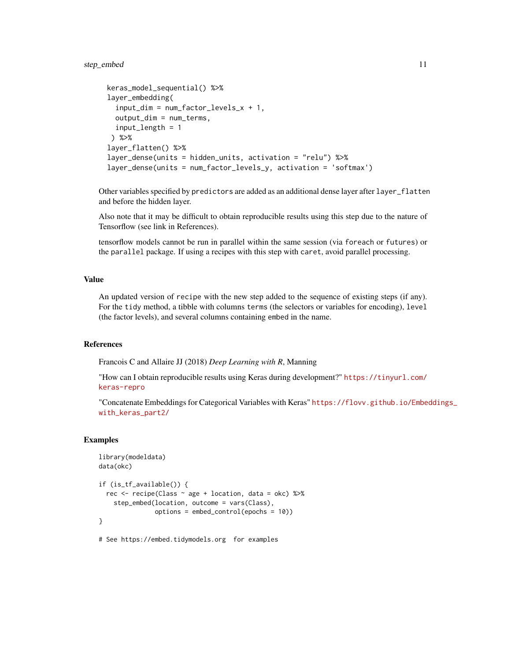#### step\_embed 11

```
keras_model_sequential() %>%
layer_embedding(
  input\_dim = num_factor\_levels_x + 1,
 output_dim = num_terms,
 input_length = 1
) %>%
layer_flatten() %>%
layer_dense(units = hidden_units, activation = "relu") %>%
layer_dense(units = num_factor_levels_y, activation = 'softmax')
```
Other variables specified by predictors are added as an additional dense layer after layer\_flatten and before the hidden layer.

Also note that it may be difficult to obtain reproducible results using this step due to the nature of Tensorflow (see link in References).

tensorflow models cannot be run in parallel within the same session (via foreach or futures) or the parallel package. If using a recipes with this step with caret, avoid parallel processing.

#### Value

An updated version of recipe with the new step added to the sequence of existing steps (if any). For the tidy method, a tibble with columns terms (the selectors or variables for encoding), level (the factor levels), and several columns containing embed in the name.

### References

Francois C and Allaire JJ (2018) *Deep Learning with R*, Manning

"How can I obtain reproducible results using Keras during development?" [https://tinyurl.com/](https://tinyurl.com/keras-repro) [keras-repro](https://tinyurl.com/keras-repro)

"Concatenate Embeddings for Categorical Variables with Keras" [https://flovv.github.io/Embe](https://flovv.github.io/Embeddings_with_keras_part2/)ddings\_ [with\\_keras\\_part2/](https://flovv.github.io/Embeddings_with_keras_part2/)

#### Examples

```
library(modeldata)
data(okc)
if (is_tf_available()) {
 rec <- recipe(Class ~ age + location, data = okc) %>%
   step_embed(location, outcome = vars(Class),
               options = embed_control(epochs = 10))
}
```
# See https://embed.tidymodels.org for examples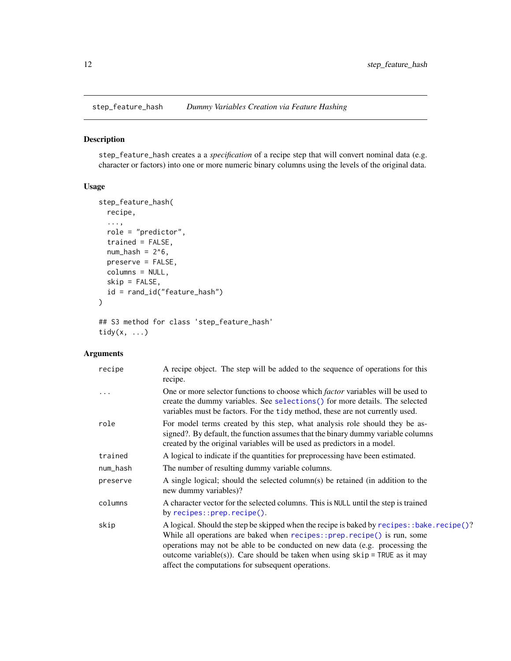<span id="page-11-0"></span>

#### Description

step\_feature\_hash creates a a *specification* of a recipe step that will convert nominal data (e.g. character or factors) into one or more numeric binary columns using the levels of the original data.

#### Usage

```
step_feature_hash(
 recipe,
  ...,
  role = "predictor",
  trained = FALSE,
  num\_hash = 2^6,preserve = FALSE,
 columns = NULL,
  skip = FALSE,
  id = rand_id("feature_hash")
)
```
## S3 method for class 'step\_feature\_hash' tidy $(x, \ldots)$ 

## Arguments

| recipe   | A recipe object. The step will be added to the sequence of operations for this<br>recipe.                                                                                                                                                                                                                                                                                                     |
|----------|-----------------------------------------------------------------------------------------------------------------------------------------------------------------------------------------------------------------------------------------------------------------------------------------------------------------------------------------------------------------------------------------------|
| .        | One or more selector functions to choose which <i>factor</i> variables will be used to<br>create the dummy variables. See selections () for more details. The selected<br>variables must be factors. For the tidy method, these are not currently used.                                                                                                                                       |
| role     | For model terms created by this step, what analysis role should they be as-<br>signed?. By default, the function assumes that the binary dummy variable columns<br>created by the original variables will be used as predictors in a model.                                                                                                                                                   |
| trained  | A logical to indicate if the quantities for preprocessing have been estimated.                                                                                                                                                                                                                                                                                                                |
| num_hash | The number of resulting dummy variable columns.                                                                                                                                                                                                                                                                                                                                               |
| preserve | A single logical; should the selected column(s) be retained (in addition to the<br>new dummy variables)?                                                                                                                                                                                                                                                                                      |
| columns  | A character vector for the selected columns. This is NULL until the step is trained<br>by $recipes::prep.recipe()$ .                                                                                                                                                                                                                                                                          |
| skip     | A logical. Should the step be skipped when the recipe is baked by recipes: :bake.recipe()?<br>While all operations are baked when recipes:: prep. recipe() is run, some<br>operations may not be able to be conducted on new data (e.g. processing the<br>outcome variable(s)). Care should be taken when using $skip = TRUE$ as it may<br>affect the computations for subsequent operations. |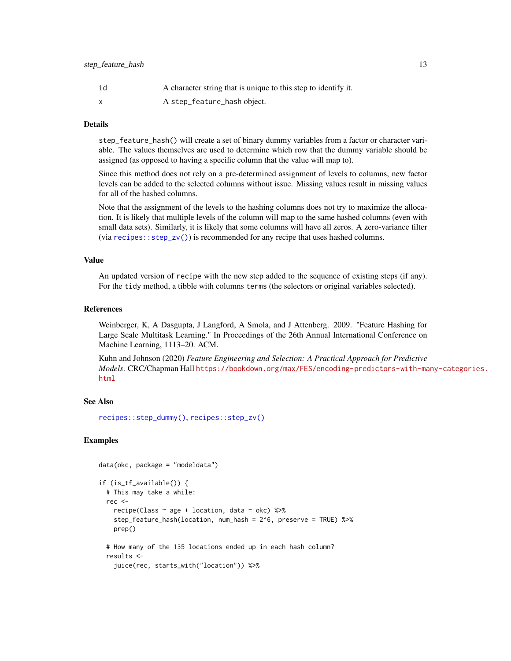<span id="page-12-0"></span>

| id | A character string that is unique to this step to identify it. |
|----|----------------------------------------------------------------|
|    | A step_feature_hash object.                                    |

step\_feature\_hash() will create a set of binary dummy variables from a factor or character variable. The values themselves are used to determine which row that the dummy variable should be assigned (as opposed to having a specific column that the value will map to).

Since this method does not rely on a pre-determined assignment of levels to columns, new factor levels can be added to the selected columns without issue. Missing values result in missing values for all of the hashed columns.

Note that the assignment of the levels to the hashing columns does not try to maximize the allocation. It is likely that multiple levels of the column will map to the same hashed columns (even with small data sets). Similarly, it is likely that some columns will have all zeros. A zero-variance filter (via  $recipes::step_zv()$ ) is recommended for any recipe that uses hashed columns.

#### Value

An updated version of recipe with the new step added to the sequence of existing steps (if any). For the tidy method, a tibble with columns terms (the selectors or original variables selected).

#### References

Weinberger, K, A Dasgupta, J Langford, A Smola, and J Attenberg. 2009. "Feature Hashing for Large Scale Multitask Learning." In Proceedings of the 26th Annual International Conference on Machine Learning, 1113–20. ACM.

Kuhn and Johnson (2020) *Feature Engineering and Selection: A Practical Approach for Predictive Models*. CRC/Chapman Hall [https://bookdown.org/max/FES/encoding-predictors-with-ma](https://bookdown.org/max/FES/encoding-predictors-with-many-categories.html)ny-categories. [html](https://bookdown.org/max/FES/encoding-predictors-with-many-categories.html)

#### See Also

[recipes::step\\_dummy\(\)](#page-0-0), [recipes::step\\_zv\(\)](#page-0-0)

#### Examples

```
data(okc, package = "modeldata")
if (is_tf_available()) {
 # This may take a while:
 rec <-
   recipe(Class \sim age + location, data = okc) %>%
   step_feature_hash(location, num_hash = 2^6, preserve = TRUE) %>%
   prep()
 # How many of the 135 locations ended up in each hash column?
 results <-
   juice(rec, starts_with("location")) %>%
```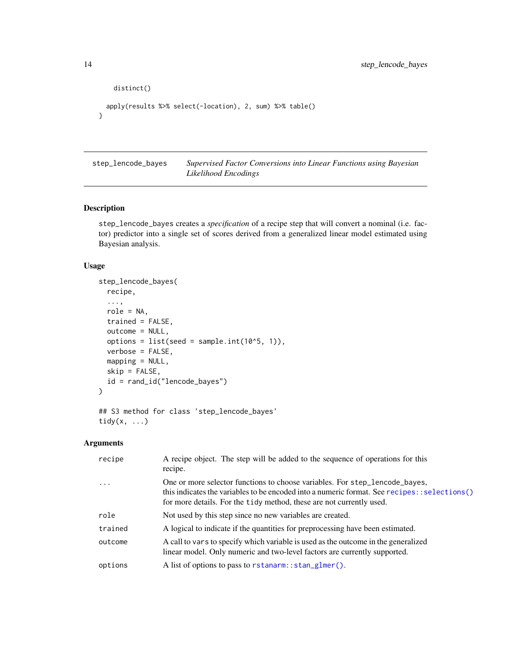```
distinct()
 apply(results %>% select(-location), 2, sum) %>% table()
}
```
step\_lencode\_bayes *Supervised Factor Conversions into Linear Functions using Bayesian Likelihood Encodings*

## Description

step\_lencode\_bayes creates a *specification* of a recipe step that will convert a nominal (i.e. factor) predictor into a single set of scores derived from a generalized linear model estimated using Bayesian analysis.

## Usage

```
step_lencode_bayes(
  recipe,
  ...,
  role = NA,
  trained = FALSE,
  outcome = NULL,
 options = list(seed = sample.int(10<sup>0</sup>5, 1)),verbose = FALSE,
 mapping = NULL,
  skip = FALSE,
  id = rand_id("lencode_bayes")
)
## S3 method for class 'step_lencode_bayes'
```
## Arguments

tidy(x, ...)

| recipe   | A recipe object. The step will be added to the sequence of operations for this<br>recipe.                                                                                                                                                          |
|----------|----------------------------------------------------------------------------------------------------------------------------------------------------------------------------------------------------------------------------------------------------|
| $\cdots$ | One or more selector functions to choose variables. For step_lencode_bayes,<br>this indicates the variables to be encoded into a numeric format. See recipes::selections()<br>for more details. For the tidy method, these are not currently used. |
| role     | Not used by this step since no new variables are created.                                                                                                                                                                                          |
| trained  | A logical to indicate if the quantities for preprocessing have been estimated.                                                                                                                                                                     |
| outcome  | A call to vars to specify which variable is used as the outcome in the generalized<br>linear model. Only numeric and two-level factors are currently supported.                                                                                    |
| options  | A list of options to pass to rstanarm::stan_glmer().                                                                                                                                                                                               |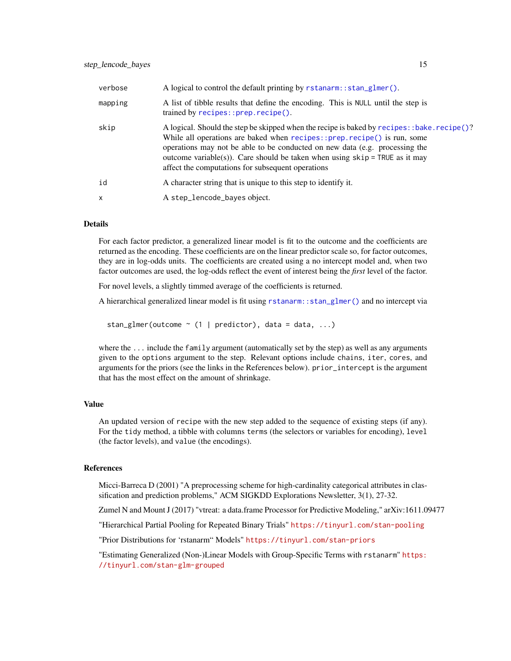<span id="page-14-0"></span>

| verbose | A logical to control the default printing by rstanarm: : stan_glmer().                                                                                                                                                                                                                                                                                                                         |
|---------|------------------------------------------------------------------------------------------------------------------------------------------------------------------------------------------------------------------------------------------------------------------------------------------------------------------------------------------------------------------------------------------------|
| mapping | A list of tibble results that define the encoding. This is NULL until the step is<br>trained by recipes::prep.recipe().                                                                                                                                                                                                                                                                        |
| skip    | A logical. Should the step be skipped when the recipe is baked by recipes: : bake. recipe()?<br>While all operations are baked when $recipes::prep.recipe()$ is run, some<br>operations may not be able to be conducted on new data (e.g. processing the<br>outcome variable(s)). Care should be taken when using $skip =$ TRUE as it may<br>affect the computations for subsequent operations |
| id      | A character string that is unique to this step to identify it.                                                                                                                                                                                                                                                                                                                                 |
| X       | A step_lencode_bayes object.                                                                                                                                                                                                                                                                                                                                                                   |

For each factor predictor, a generalized linear model is fit to the outcome and the coefficients are returned as the encoding. These coefficients are on the linear predictor scale so, for factor outcomes, they are in log-odds units. The coefficients are created using a no intercept model and, when two factor outcomes are used, the log-odds reflect the event of interest being the *first* level of the factor.

For novel levels, a slightly timmed average of the coefficients is returned.

A hierarchical generalized linear model is fit using [rstanarm::stan\\_glmer\(\)](#page-0-0) and no intercept via

stan\_glmer(outcome  $\sim$  (1 | predictor), data = data, ...)

where the ... include the family argument (automatically set by the step) as well as any arguments given to the options argument to the step. Relevant options include chains, iter, cores, and arguments for the priors (see the links in the References below). prior\_intercept is the argument that has the most effect on the amount of shrinkage.

## Value

An updated version of recipe with the new step added to the sequence of existing steps (if any). For the tidy method, a tibble with columns terms (the selectors or variables for encoding), level (the factor levels), and value (the encodings).

#### References

Micci-Barreca D (2001) "A preprocessing scheme for high-cardinality categorical attributes in classification and prediction problems," ACM SIGKDD Explorations Newsletter, 3(1), 27-32.

Zumel N and Mount J (2017) "vtreat: a data.frame Processor for Predictive Modeling," arXiv:1611.09477

"Hierarchical Partial Pooling for Repeated Binary Trials" <https://tinyurl.com/stan-pooling>

"Prior Distributions for 'rstanarm" Models" <https://tinyurl.com/stan-priors>

"Estimating Generalized (Non-)Linear Models with Group-Specific Terms with rstanarm" [https:](https://tinyurl.com/stan-glm-grouped) [//tinyurl.com/stan-glm-grouped](https://tinyurl.com/stan-glm-grouped)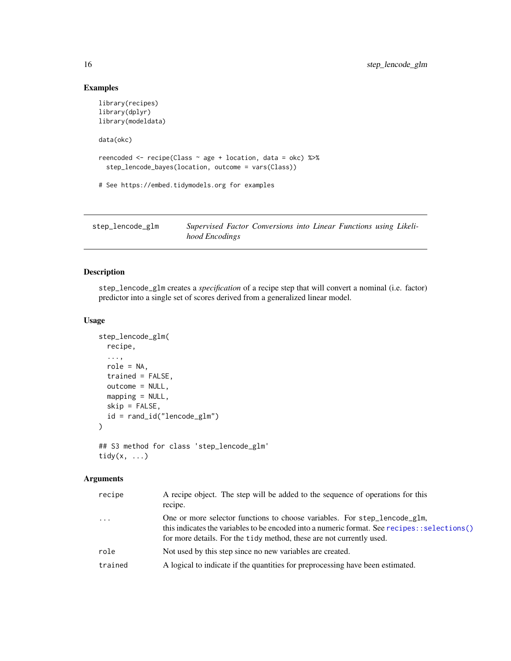## Examples

```
library(recipes)
library(dplyr)
library(modeldata)
data(okc)
reencoded <- recipe(Class ~ age + location, data = okc) %>%
  step_lencode_bayes(location, outcome = vars(Class))
# See https://embed.tidymodels.org for examples
```

| step_lencode_glm | Supervised Factor Conversions into Linear Functions using Likeli- |  |  |  |
|------------------|-------------------------------------------------------------------|--|--|--|
|                  | hood Encodings                                                    |  |  |  |

## Description

step\_lencode\_glm creates a *specification* of a recipe step that will convert a nominal (i.e. factor) predictor into a single set of scores derived from a generalized linear model.

#### Usage

```
step_lencode_glm(
 recipe,
  ...,
 role = NA,
 trained = FALSE,
 outcome = NULL,
 mapping = NULL,
 skip = FALSE,
  id = rand_id("lencode_glm")
\mathcal{E}## S3 method for class 'step_lencode_glm'
```

```
tidy(x, ...)
```
### Arguments

| recipe   | A recipe object. The step will be added to the sequence of operations for this<br>recipe.                                                                                                                                                            |
|----------|------------------------------------------------------------------------------------------------------------------------------------------------------------------------------------------------------------------------------------------------------|
| $\cdots$ | One or more selector functions to choose variables. For step_lencode_glm,<br>(b) this indicates the variables to be encoded into a numeric format. See recipes: : selections<br>for more details. For the tidy method, these are not currently used. |
| role     | Not used by this step since no new variables are created.                                                                                                                                                                                            |
| trained  | A logical to indicate if the quantities for preprocessing have been estimated.                                                                                                                                                                       |

<span id="page-15-0"></span>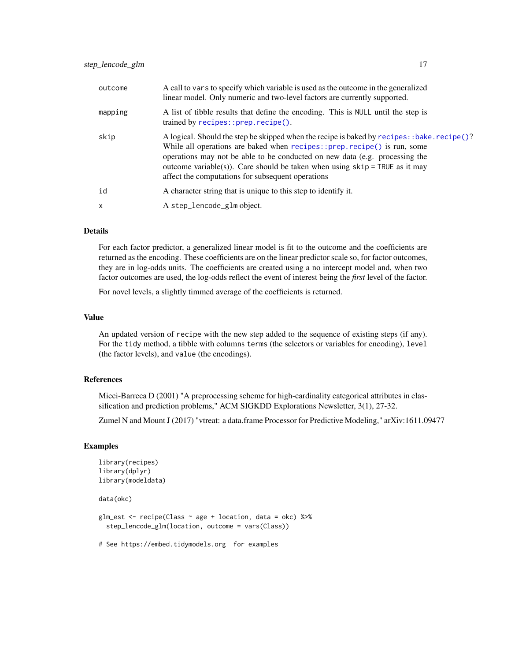<span id="page-16-0"></span>

| outcome      | A call to vars to specify which variable is used as the outcome in the generalized<br>linear model. Only numeric and two-level factors are currently supported.                                                                                                                                                                                                                              |
|--------------|----------------------------------------------------------------------------------------------------------------------------------------------------------------------------------------------------------------------------------------------------------------------------------------------------------------------------------------------------------------------------------------------|
| mapping      | A list of tibble results that define the encoding. This is NULL until the step is<br>trained by recipes::prep.recipe().                                                                                                                                                                                                                                                                      |
| skip         | A logical. Should the step be skipped when the recipe is baked by recipes: :bake.recipe()?<br>While all operations are baked when $recipes::prep.recipe()$ is run, some<br>operations may not be able to be conducted on new data (e.g. processing the<br>outcome variable(s)). Care should be taken when using $skip =$ TRUE as it may<br>affect the computations for subsequent operations |
| id           | A character string that is unique to this step to identify it.                                                                                                                                                                                                                                                                                                                               |
| $\mathsf{x}$ | A step_lencode_glm object.                                                                                                                                                                                                                                                                                                                                                                   |

For each factor predictor, a generalized linear model is fit to the outcome and the coefficients are returned as the encoding. These coefficients are on the linear predictor scale so, for factor outcomes, they are in log-odds units. The coefficients are created using a no intercept model and, when two factor outcomes are used, the log-odds reflect the event of interest being the *first* level of the factor.

For novel levels, a slightly timmed average of the coefficients is returned.

#### Value

An updated version of recipe with the new step added to the sequence of existing steps (if any). For the tidy method, a tibble with columns terms (the selectors or variables for encoding), level (the factor levels), and value (the encodings).

#### References

Micci-Barreca D (2001) "A preprocessing scheme for high-cardinality categorical attributes in classification and prediction problems," ACM SIGKDD Explorations Newsletter, 3(1), 27-32.

Zumel N and Mount J (2017) "vtreat: a data.frame Processor for Predictive Modeling," arXiv:1611.09477

#### Examples

```
library(recipes)
library(dplyr)
library(modeldata)
data(okc)
glm_est <- recipe(Class ~ age + location, data = okc) %>%
 step_lencode_glm(location, outcome = vars(Class))
# See https://embed.tidymodels.org for examples
```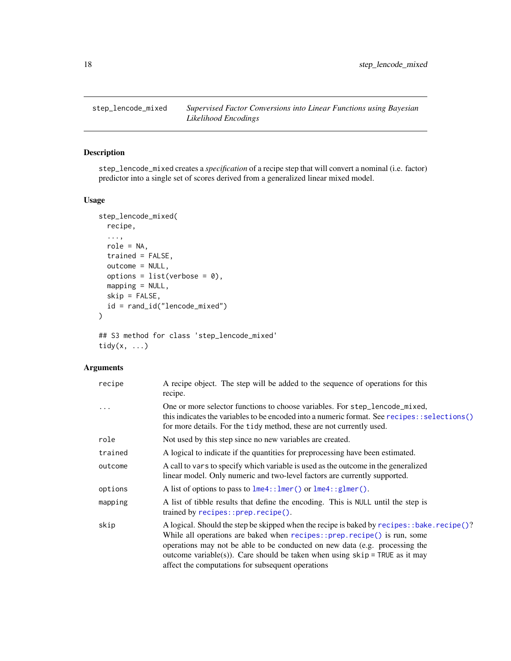<span id="page-17-0"></span>step\_lencode\_mixed *Supervised Factor Conversions into Linear Functions using Bayesian Likelihood Encodings*

## Description

step\_lencode\_mixed creates a *specification* of a recipe step that will convert a nominal (i.e. factor) predictor into a single set of scores derived from a generalized linear mixed model.

#### Usage

```
step_lencode_mixed(
  recipe,
  ...,
  role = NA,
  trained = FALSE,
  outcome = NULL,
 options = list(verbose = \emptyset),
 mapping = NULL,
 skip = FALSE,
 id = rand_id("lencode_mixed")
\mathcal{E}## S3 method for class 'step_lencode_mixed'
```
tidy(x, ...)

## Arguments

| recipe  | A recipe object. The step will be added to the sequence of operations for this<br>recipe.                                                                                                                                                                                                                                                                                                      |
|---------|------------------------------------------------------------------------------------------------------------------------------------------------------------------------------------------------------------------------------------------------------------------------------------------------------------------------------------------------------------------------------------------------|
| .       | One or more selector functions to choose variables. For step_lencode_mixed,<br>this indicates the variables to be encoded into a numeric format. See recipes:: selections()<br>for more details. For the tidy method, these are not currently used.                                                                                                                                            |
| role    | Not used by this step since no new variables are created.                                                                                                                                                                                                                                                                                                                                      |
| trained | A logical to indicate if the quantities for preprocessing have been estimated.                                                                                                                                                                                                                                                                                                                 |
| outcome | A call to vars to specify which variable is used as the outcome in the generalized<br>linear model. Only numeric and two-level factors are currently supported.                                                                                                                                                                                                                                |
| options | A list of options to pass to $l$ me4:: $l$ mer() or $l$ me4:: $gl$ mer().                                                                                                                                                                                                                                                                                                                      |
| mapping | A list of tibble results that define the encoding. This is NULL until the step is<br>trained by recipes::prep.recipe().                                                                                                                                                                                                                                                                        |
| skip    | A logical. Should the step be skipped when the recipe is baked by recipes: : bake. recipe()?<br>While all operations are baked when $recipes::prep.recipe()$ is run, some<br>operations may not be able to be conducted on new data (e.g. processing the<br>outcome variable(s)). Care should be taken when using $skip =$ TRUE as it may<br>affect the computations for subsequent operations |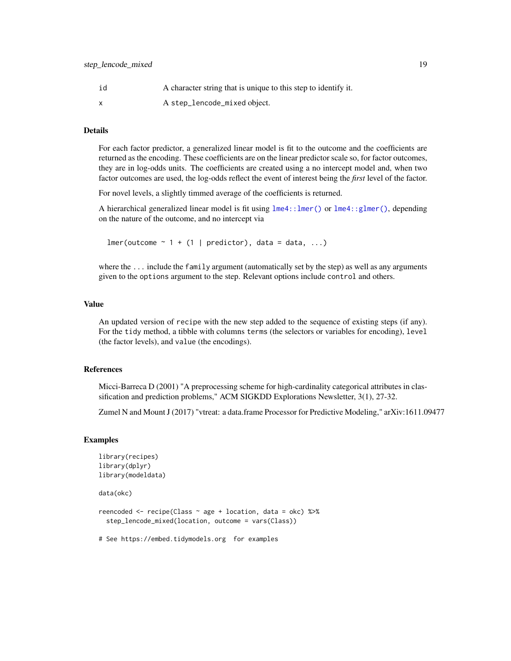<span id="page-18-0"></span>

| id | A character string that is unique to this step to identify it. |
|----|----------------------------------------------------------------|
|    | A step_lencode_mixed object.                                   |

For each factor predictor, a generalized linear model is fit to the outcome and the coefficients are returned as the encoding. These coefficients are on the linear predictor scale so, for factor outcomes, they are in log-odds units. The coefficients are created using a no intercept model and, when two factor outcomes are used, the log-odds reflect the event of interest being the *first* level of the factor.

For novel levels, a slightly timmed average of the coefficients is returned.

A hierarchical generalized linear model is fit using [lme4::lmer\(\)](#page-0-0) or [lme4::glmer\(\)](#page-0-0), depending on the nature of the outcome, and no intercept via

 $lmer(outcome ~ 1 + (1 | predictor), data = data, ...)$ 

where the ... include the family argument (automatically set by the step) as well as any arguments given to the options argument to the step. Relevant options include control and others.

## Value

An updated version of recipe with the new step added to the sequence of existing steps (if any). For the tidy method, a tibble with columns terms (the selectors or variables for encoding), level (the factor levels), and value (the encodings).

#### References

Micci-Barreca D (2001) "A preprocessing scheme for high-cardinality categorical attributes in classification and prediction problems," ACM SIGKDD Explorations Newsletter, 3(1), 27-32.

Zumel N and Mount J (2017) "vtreat: a data.frame Processor for Predictive Modeling," arXiv:1611.09477

#### Examples

```
library(recipes)
library(dplyr)
library(modeldata)
```
data(okc)

reencoded <- recipe(Class ~ age + location, data = okc) %>% step\_lencode\_mixed(location, outcome = vars(Class))

# See https://embed.tidymodels.org for examples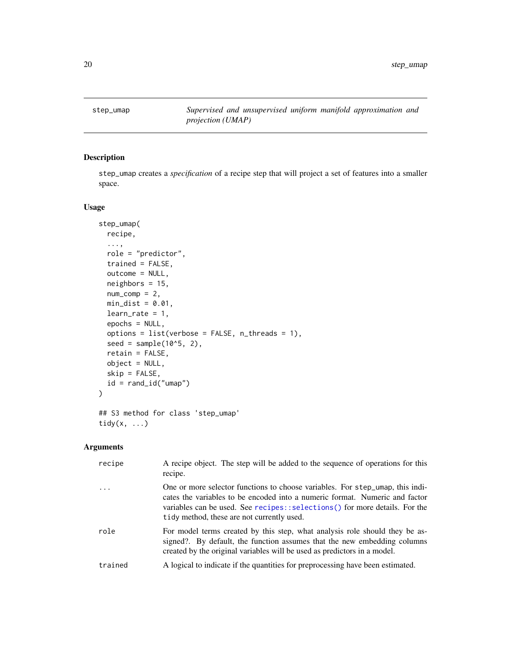<span id="page-19-0"></span>step\_umap *Supervised and unsupervised uniform manifold approximation and projection (UMAP)*

## Description

step\_umap creates a *specification* of a recipe step that will project a set of features into a smaller space.

#### Usage

```
step_umap(
  recipe,
  ...,
 role = "predictor",
  trained = FALSE,
 outcome = NULL,
 neighbors = 15,
 num\_comp = 2,min\_dist = 0.01,
 learn_rate = 1,epochs = NULL,options = list(verbose = FALSE, n_threads = 1),
  seed = sample(10^5, 2),
  retain = FALSE,
 object = NULL,
  skip = FALSE,
  id = rand_id("umap"))
## S3 method for class 'step_umap'
tidy(x, \ldots)
```
## Arguments

| recipe  | A recipe object. The step will be added to the sequence of operations for this<br>recipe.                                                                                                                                                                                                |
|---------|------------------------------------------------------------------------------------------------------------------------------------------------------------------------------------------------------------------------------------------------------------------------------------------|
|         | One or more selector functions to choose variables. For step_umap, this indi-<br>cates the variables to be encoded into a numeric format. Numeric and factor<br>variables can be used. See recipes::selections() for more details. For the<br>tidy method, these are not currently used. |
| role    | For model terms created by this step, what analysis role should they be as-<br>signed?. By default, the function assumes that the new embedding columns<br>created by the original variables will be used as predictors in a model.                                                      |
| trained | A logical to indicate if the quantities for preprocessing have been estimated.                                                                                                                                                                                                           |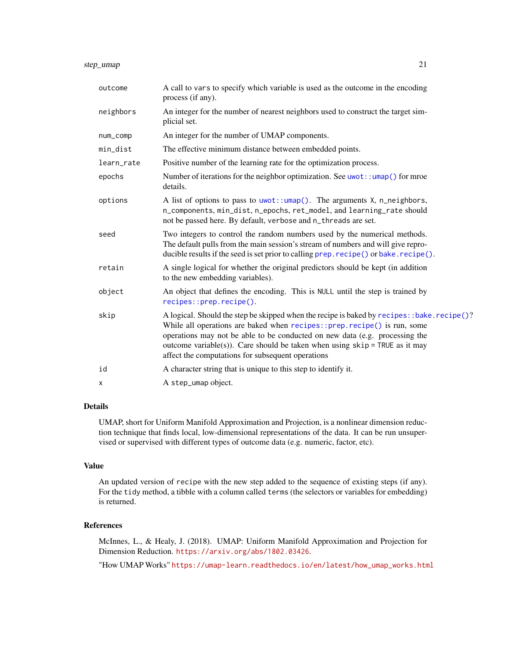<span id="page-20-0"></span>

| outcome    | A call to vars to specify which variable is used as the outcome in the encoding<br>process (if any).                                                                                                                                                                                                                                                                                        |
|------------|---------------------------------------------------------------------------------------------------------------------------------------------------------------------------------------------------------------------------------------------------------------------------------------------------------------------------------------------------------------------------------------------|
| neighbors  | An integer for the number of nearest neighbors used to construct the target sim-<br>plicial set.                                                                                                                                                                                                                                                                                            |
| num_comp   | An integer for the number of UMAP components.                                                                                                                                                                                                                                                                                                                                               |
| min_dist   | The effective minimum distance between embedded points.                                                                                                                                                                                                                                                                                                                                     |
| learn_rate | Positive number of the learning rate for the optimization process.                                                                                                                                                                                                                                                                                                                          |
| epochs     | Number of iterations for the neighbor optimization. See $uwt$ : : $umap()$ for mroe<br>details.                                                                                                                                                                                                                                                                                             |
| options    | A list of options to pass to $u\text{wot}$ :: $u\text{map}()$ . The arguments X, n_neighbors,<br>n_components, min_dist, n_epochs, ret_model, and learning_rate should<br>not be passed here. By default, verbose and n_threads are set.                                                                                                                                                    |
| seed       | Two integers to control the random numbers used by the numerical methods.<br>The default pulls from the main session's stream of numbers and will give repro-<br>ducible results if the seed is set prior to calling prep. recipe() or bake. recipe().                                                                                                                                      |
| retain     | A single logical for whether the original predictors should be kept (in addition<br>to the new embedding variables).                                                                                                                                                                                                                                                                        |
| object     | An object that defines the encoding. This is NULL until the step is trained by<br>recipes::prep.recipe().                                                                                                                                                                                                                                                                                   |
| skip       | A logical. Should the step be skipped when the recipe is baked by recipes: :bake.recipe()?<br>While all operations are baked when recipes:: prep.recipe() is run, some<br>operations may not be able to be conducted on new data (e.g. processing the<br>outcome variable(s)). Care should be taken when using $skip =$ TRUE as it may<br>affect the computations for subsequent operations |
| id         | A character string that is unique to this step to identify it.                                                                                                                                                                                                                                                                                                                              |
| X          | A step_umap object.                                                                                                                                                                                                                                                                                                                                                                         |

UMAP, short for Uniform Manifold Approximation and Projection, is a nonlinear dimension reduction technique that finds local, low-dimensional representations of the data. It can be run unsupervised or supervised with different types of outcome data (e.g. numeric, factor, etc).

#### Value

An updated version of recipe with the new step added to the sequence of existing steps (if any). For the tidy method, a tibble with a column called terms (the selectors or variables for embedding) is returned.

#### References

McInnes, L., & Healy, J. (2018). UMAP: Uniform Manifold Approximation and Projection for Dimension Reduction. <https://arxiv.org/abs/1802.03426>.

"How UMAP Works" [https://umap-learn.readthedocs.io/en/latest/how\\_umap\\_works.html](https://umap-learn.readthedocs.io/en/latest/how_umap_works.html)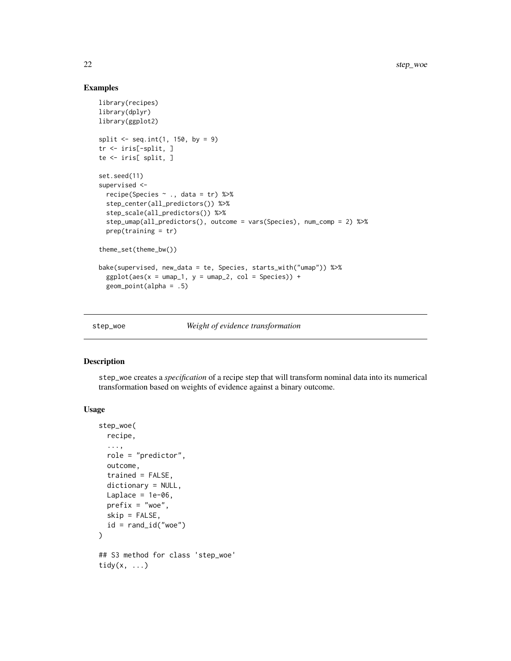#### Examples

```
library(recipes)
library(dplyr)
library(ggplot2)
split \leq seq.int(1, 150, by = 9)
tr <- iris[-split, ]
te <- iris[ split, ]
set.seed(11)
supervised <-
  recipe(Species ~ ., data = tr) %>%
  step_center(all_predictors()) %>%
  step_scale(all_predictors()) %>%
  step_umap(all_predictors(), outcome = vars(Species), num_comp = 2) %>%
  prep(training = tr)theme_set(theme_bw())
bake(supervised, new_data = te, Species, starts_with("umap")) %>%
  ggplot(aes(x = umap_1, y = umap_2, col = Species)) +geom_point(alpha = .5)
```
step\_woe *Weight of evidence transformation*

#### Description

step\_woe creates a *specification* of a recipe step that will transform nominal data into its numerical transformation based on weights of evidence against a binary outcome.

#### Usage

```
step_woe(
  recipe,
  ...,
 role = "predictor",
 outcome,
  trained = FALSE,
 dictionary = NULL,
 Laplace = 1e-06,
 prefix = "woe",
 skip = FALSE,
 id = rand_id("woe"))
## S3 method for class 'step_woe'
tidy(x, \ldots)
```
<span id="page-21-0"></span>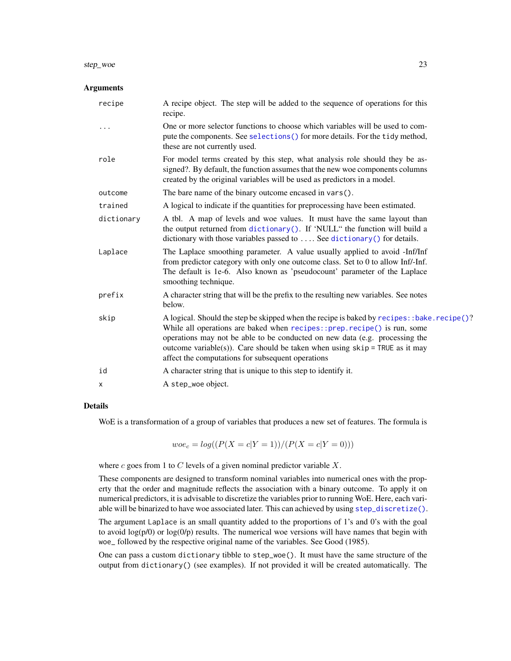#### <span id="page-22-0"></span>step\_woe 23

#### Arguments

| recipe     | A recipe object. The step will be added to the sequence of operations for this<br>recipe.                                                                                                                                                                                                                                                                                                      |
|------------|------------------------------------------------------------------------------------------------------------------------------------------------------------------------------------------------------------------------------------------------------------------------------------------------------------------------------------------------------------------------------------------------|
| .          | One or more selector functions to choose which variables will be used to com-<br>pute the components. See selections () for more details. For the tidy method,<br>these are not currently used.                                                                                                                                                                                                |
| role       | For model terms created by this step, what analysis role should they be as-<br>signed?. By default, the function assumes that the new woe components columns<br>created by the original variables will be used as predictors in a model.                                                                                                                                                       |
| outcome    | The bare name of the binary outcome encased in vars().                                                                                                                                                                                                                                                                                                                                         |
| trained    | A logical to indicate if the quantities for preprocessing have been estimated.                                                                                                                                                                                                                                                                                                                 |
| dictionary | A tbl. A map of levels and woe values. It must have the same layout than<br>the output returned from dictionary(). If 'NULL" the function will build a<br>dictionary with those variables passed to  See dictionary () for details.                                                                                                                                                            |
| Laplace    | The Laplace smoothing parameter. A value usually applied to avoid -Inf/Inf<br>from predictor category with only one outcome class. Set to 0 to allow Inf/-Inf.<br>The default is 1e-6. Also known as 'pseudocount' parameter of the Laplace<br>smoothing technique.                                                                                                                            |
| prefix     | A character string that will be the prefix to the resulting new variables. See notes<br>below.                                                                                                                                                                                                                                                                                                 |
| skip       | A logical. Should the step be skipped when the recipe is baked by recipes: : bake. recipe()?<br>While all operations are baked when recipes:: prep. recipe() is run, some<br>operations may not be able to be conducted on new data (e.g. processing the<br>outcome variable(s)). Care should be taken when using $skip =$ TRUE as it may<br>affect the computations for subsequent operations |
| id         | A character string that is unique to this step to identify it.                                                                                                                                                                                                                                                                                                                                 |
| x          | A step_woe object.                                                                                                                                                                                                                                                                                                                                                                             |
|            |                                                                                                                                                                                                                                                                                                                                                                                                |

#### Details

WoE is a transformation of a group of variables that produces a new set of features. The formula is

 $woe_c = log((P(X = c|Y = 1))/(P(X = c|Y = 0)))$ 

where  $c$  goes from 1 to  $C$  levels of a given nominal predictor variable  $X$ .

These components are designed to transform nominal variables into numerical ones with the property that the order and magnitude reflects the association with a binary outcome. To apply it on numerical predictors, it is advisable to discretize the variables prior to running WoE. Here, each variable will be binarized to have woe associated later. This can achieved by using [step\\_discretize\(\)](#page-0-0).

The argument Laplace is an small quantity added to the proportions of 1's and 0's with the goal to avoid  $log(p/0)$  or  $log(0/p)$  results. The numerical woe versions will have names that begin with woe\_ followed by the respective original name of the variables. See Good (1985).

One can pass a custom dictionary tibble to step\_woe(). It must have the same structure of the output from dictionary() (see examples). If not provided it will be created automatically. The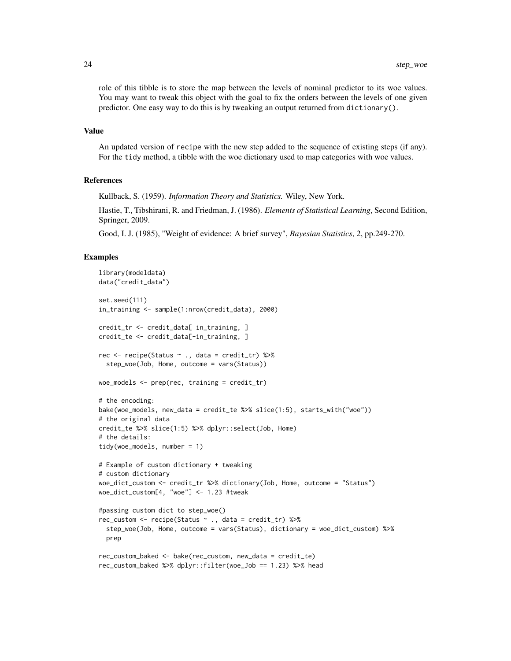role of this tibble is to store the map between the levels of nominal predictor to its woe values. You may want to tweak this object with the goal to fix the orders between the levels of one given predictor. One easy way to do this is by tweaking an output returned from dictionary().

#### Value

An updated version of recipe with the new step added to the sequence of existing steps (if any). For the tidy method, a tibble with the woe dictionary used to map categories with woe values.

#### References

Kullback, S. (1959). *Information Theory and Statistics.* Wiley, New York.

Hastie, T., Tibshirani, R. and Friedman, J. (1986). *Elements of Statistical Learning*, Second Edition, Springer, 2009.

Good, I. J. (1985), "Weight of evidence: A brief survey", *Bayesian Statistics*, 2, pp.249-270.

#### Examples

```
library(modeldata)
data("credit_data")
set.seed(111)
in_training <- sample(1:nrow(credit_data), 2000)
credit_tr <- credit_data[ in_training, ]
credit_te <- credit_data[-in_training, ]
rec \le recipe(Status \sim ., data = credit_tr) %>%
 step_woe(Job, Home, outcome = vars(Status))
woe_models <- prep(rec, training = credit_tr)
# the encoding:
bake(woe_models, new_data = credit_te %>% slice(1:5), starts_with("woe"))
# the original data
credit_te %>% slice(1:5) %>% dplyr::select(Job, Home)
# the details:
tidy(woe_models, number = 1)
# Example of custom dictionary + tweaking
# custom dictionary
woe_dict_custom <- credit_tr %>% dictionary(Job, Home, outcome = "Status")
woe_dict_custom[4, "woe"] <- 1.23 #tweak
#passing custom dict to step_woe()
rec_custom <- recipe(Status ~ ., data = credit_tr) %>%
 step_woe(Job, Home, outcome = vars(Status), dictionary = woe_dict_custom) %>%
 prep
rec_custom_baked <- bake(rec_custom, new_data = credit_te)
rec_custom_baked %>% dplyr::filter(woe_Job == 1.23) %>% head
```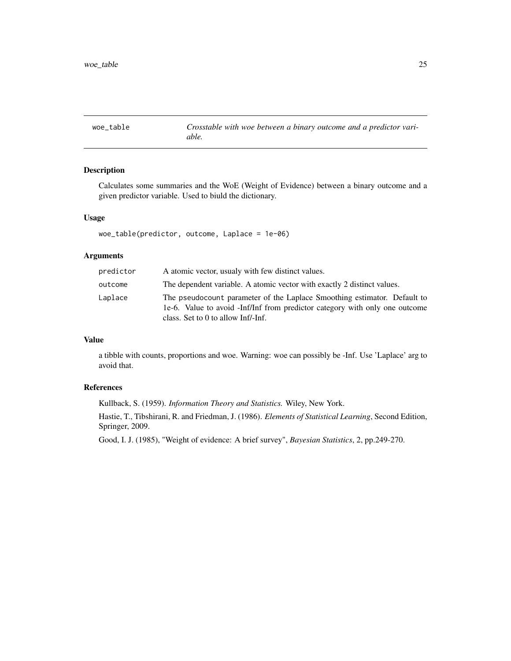<span id="page-24-0"></span>woe\_table *Crosstable with woe between a binary outcome and a predictor variable.*

## Description

Calculates some summaries and the WoE (Weight of Evidence) between a binary outcome and a given predictor variable. Used to biuld the dictionary.

#### Usage

woe\_table(predictor, outcome, Laplace = 1e-06)

#### Arguments

| predictor | A atomic vector, usualy with few distinct values.                                                                                                                                               |
|-----------|-------------------------------------------------------------------------------------------------------------------------------------------------------------------------------------------------|
| outcome   | The dependent variable. A atomic vector with exactly 2 distinct values.                                                                                                                         |
| Laplace   | The pseudocount parameter of the Laplace Smoothing estimator. Default to<br>1e-6. Value to avoid -Inf/Inf from predictor category with only one outcome<br>class. Set to $0$ to allow Inf/-Inf. |

## Value

a tibble with counts, proportions and woe. Warning: woe can possibly be -Inf. Use 'Laplace' arg to avoid that.

## References

Kullback, S. (1959). *Information Theory and Statistics.* Wiley, New York.

Hastie, T., Tibshirani, R. and Friedman, J. (1986). *Elements of Statistical Learning*, Second Edition, Springer, 2009.

Good, I. J. (1985), "Weight of evidence: A brief survey", *Bayesian Statistics*, 2, pp.249-270.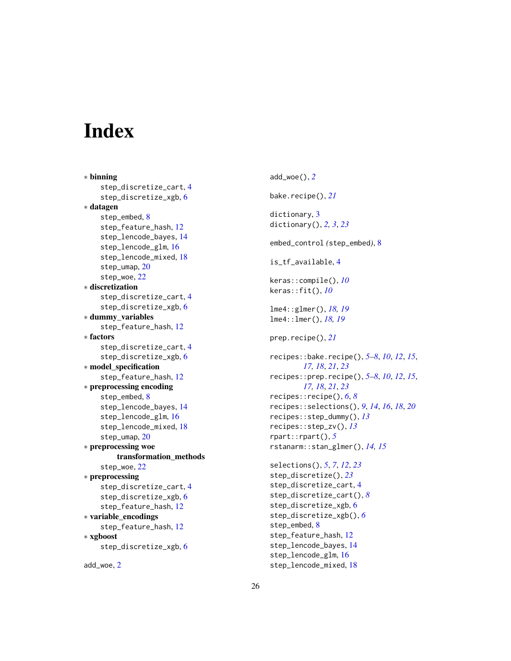# <span id="page-25-0"></span>**Index**

∗ binning step\_discretize\_cart, [4](#page-3-0) step\_discretize\_xgb, [6](#page-5-0) ∗ datagen step\_embed, [8](#page-7-0) step\_feature\_hash, [12](#page-11-0) step\_lencode\_bayes, [14](#page-13-0) step\_lencode\_glm, [16](#page-15-0) step\_lencode\_mixed, [18](#page-17-0) step\_umap, [20](#page-19-0) step\_woe, [22](#page-21-0) ∗ discretization step\_discretize\_cart, [4](#page-3-0) step\_discretize\_xgb, [6](#page-5-0) ∗ dummy\_variables step\_feature\_hash, [12](#page-11-0) ∗ factors step\_discretize\_cart, [4](#page-3-0) step\_discretize\_xgb, [6](#page-5-0) ∗ model\_specification step\_feature\_hash, [12](#page-11-0) ∗ preprocessing encoding step\_embed, [8](#page-7-0) step\_lencode\_bayes, [14](#page-13-0) step\_lencode\_glm, [16](#page-15-0) step\_lencode\_mixed, [18](#page-17-0) step\_umap, [20](#page-19-0) ∗ preprocessing woe transformation\_methods step\_woe, [22](#page-21-0) ∗ preprocessing step\_discretize\_cart, [4](#page-3-0) step\_discretize\_xgb, [6](#page-5-0) step\_feature\_hash, [12](#page-11-0) ∗ variable\_encodings step\_feature\_hash, [12](#page-11-0) ∗ xgboost step\_discretize\_xgb, [6](#page-5-0)

add\_woe, [2](#page-1-0)

add\_woe(), *[2](#page-1-0)* bake.recipe(), *[21](#page-20-0)* dictionary, [3](#page-2-0) dictionary(), *[2,](#page-1-0) [3](#page-2-0)*, *[23](#page-22-0)* embed\_control *(*step\_embed*)*, [8](#page-7-0) is\_tf\_available, [4](#page-3-0) keras::compile(), *[10](#page-9-0)* keras::fit(), *[10](#page-9-0)* lme4::glmer(), *[18,](#page-17-0) [19](#page-18-0)* lme4::lmer(), *[18,](#page-17-0) [19](#page-18-0)* prep.recipe(), *[21](#page-20-0)* recipes::bake.recipe(), *[5](#page-4-0)[–8](#page-7-0)*, *[10](#page-9-0)*, *[12](#page-11-0)*, *[15](#page-14-0)*, *[17,](#page-16-0) [18](#page-17-0)*, *[21](#page-20-0)*, *[23](#page-22-0)* recipes::prep.recipe(), *[5](#page-4-0)[–8](#page-7-0)*, *[10](#page-9-0)*, *[12](#page-11-0)*, *[15](#page-14-0)*, *[17,](#page-16-0) [18](#page-17-0)*, *[21](#page-20-0)*, *[23](#page-22-0)* recipes::recipe(), *[6](#page-5-0)*, *[8](#page-7-0)* recipes::selections(), *[9](#page-8-0)*, *[14](#page-13-0)*, *[16](#page-15-0)*, *[18](#page-17-0)*, *[20](#page-19-0)* recipes::step\_dummy(), *[13](#page-12-0)* recipes::step\_zv(), *[13](#page-12-0)* rpart::rpart(), *[5](#page-4-0)* rstanarm::stan\_glmer(), *[14,](#page-13-0) [15](#page-14-0)* selections(), *[5](#page-4-0)*, *[7](#page-6-0)*, *[12](#page-11-0)*, *[23](#page-22-0)* step\_discretize(), *[23](#page-22-0)* step\_discretize\_cart, [4](#page-3-0) step\_discretize\_cart(), *[8](#page-7-0)* step\_discretize\_xgb, [6](#page-5-0)

step\_discretize\_xgb(), *[6](#page-5-0)*

step\_feature\_hash, [12](#page-11-0) step\_lencode\_bayes, [14](#page-13-0) step\_lencode\_glm, [16](#page-15-0) step\_lencode\_mixed, [18](#page-17-0)

step\_embed, [8](#page-7-0)